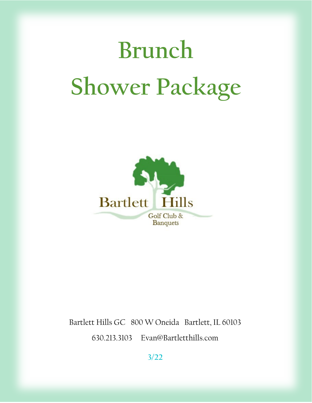# **Brunch Shower Package**



Bartlett Hills GC 800 W Oneida Bartlett, IL 60103 630.213.3103 Evan@Bartletthills.com

**3/22**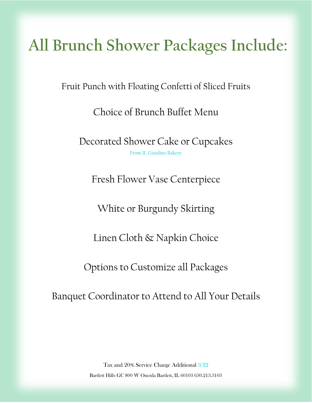# **All Brunch Shower Packages Include:**

Fruit Punch with Floating Confetti of Sliced Fruits

Choice of Brunch Buffet Menu

Decorated Shower Cake or Cupcakes From IL Giardino Bakery

Fresh Flower Vase Centerpiece

White or Burgundy Skirting

Linen Cloth & Napkin Choice

Options to Customize all Packages

Banquet Coordinator to Attend to All Your Details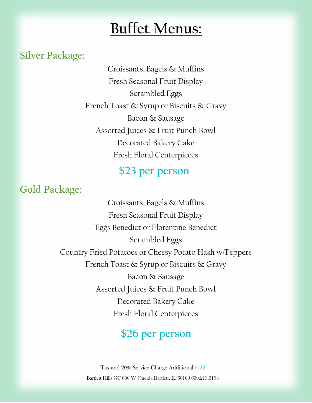## **Buffet Menus:**

#### **Silver Package:**

Croissants, Bagels & Muffins Fresh Seasonal Fruit Display Scrambled Eggs French Toast & Syrup or Biscuits & Gravy Bacon & Sausage Assorted Juices & Fruit Punch Bowl Decorated Bakery Cake Fresh Floral Centerpieces

### **\$23 per person**

**Gold Package:**

Croissants, Bagels & Muffins Fresh Seasonal Fruit Display Eggs Benedict or Florentine Benedict Scrambled Eggs Country Fried Potatoes or Cheesy Potato Hash w/Peppers French Toast & Syrup or Biscuits & Gravy Bacon & Sausage Assorted Juices & Fruit Punch Bowl Decorated Bakery Cake Fresh Floral Centerpieces

### **\$26 per person**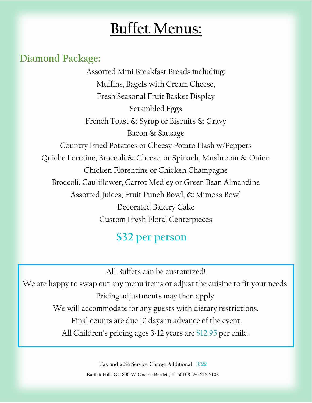# **Buffet Menus:**

#### **Diamond Package:**

Assorted Mini Breakfast Breads including: Muffins, Bagels with Cream Cheese, Fresh Seasonal Fruit Basket Display Scrambled Eggs French Toast & Syrup or Biscuits & Gravy Bacon & Sausage Country Fried Potatoes or Cheesy Potato Hash w/Peppers Quiche Lorraine, Broccoli & Cheese, or Spinach, Mushroom & Onion Chicken Florentine or Chicken Champagne Broccoli, Cauliflower, Carrot Medley or Green Bean Almandine Assorted Juices, Fruit Punch Bowl, & Mimosa Bowl Decorated Bakery Cake Custom Fresh Floral Centerpieces

### **\$32 per person**

All Buffets can be customized!

We are happy to swap out any menu items or adjust the cuisine to fit your needs. Pricing adjustments may then apply. We will accommodate for any guests with dietary restrictions. Final counts are due 10 days in advance of the event. All Children's pricing ages 3-12 years are \$12.95 per child.